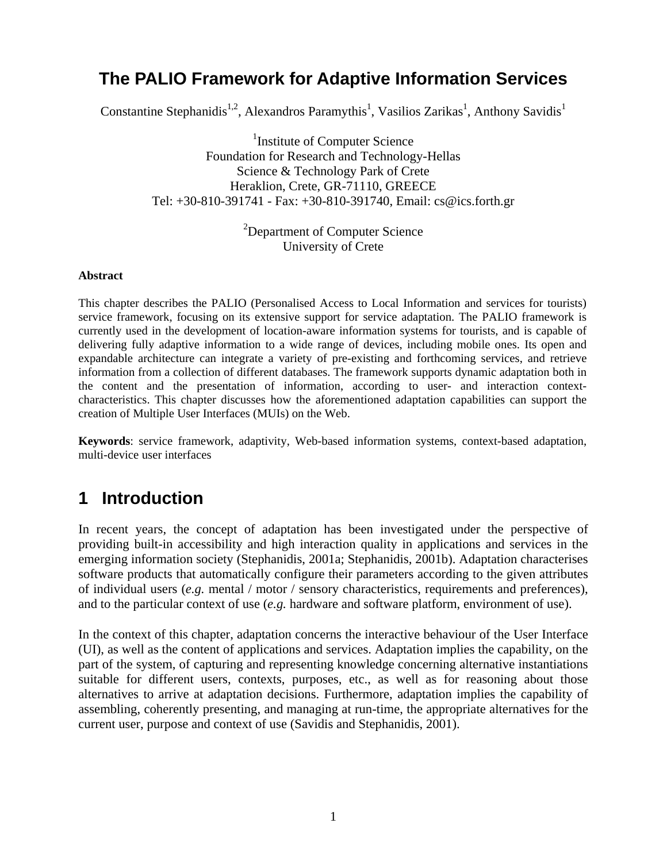# **The PALIO Framework for Adaptive Information Services**

Constantine Stephanidis<sup>1,2</sup>, Alexandros Paramythis<sup>1</sup>, Vasilios Zarikas<sup>1</sup>, Anthony Savidis<sup>1</sup>

<sup>1</sup>Institute of Computer Science Foundation for Research and Technology-Hellas Science & Technology Park of Crete Heraklion, Crete, GR-71110, GREECE Tel: +30-810-391741 - Fax: +30-810-391740, Email: cs@ics.forth.gr

> <sup>2</sup>Department of Computer Science University of Crete

#### **Abstract**

This chapter describes the PALIO (Personalised Access to Local Information and services for tourists) service framework, focusing on its extensive support for service adaptation. The PALIO framework is currently used in the development of location-aware information systems for tourists, and is capable of delivering fully adaptive information to a wide range of devices, including mobile ones. Its open and expandable architecture can integrate a variety of pre-existing and forthcoming services, and retrieve information from a collection of different databases. The framework supports dynamic adaptation both in the content and the presentation of information, according to user- and interaction contextcharacteristics. This chapter discusses how the aforementioned adaptation capabilities can support the creation of Multiple User Interfaces (MUIs) on the Web.

**Keywords**: service framework, adaptivity, Web-based information systems, context-based adaptation, multi-device user interfaces

## **1 Introduction**

In recent years, the concept of adaptation has been investigated under the perspective of providing built-in accessibility and high interaction quality in applications and services in the emerging information society (Stephanidis, 2001a; Stephanidis, 2001b). Adaptation characterises software products that automatically configure their parameters according to the given attributes of individual users (*e.g.* mental / motor / sensory characteristics, requirements and preferences), and to the particular context of use (*e.g.* hardware and software platform, environment of use).

In the context of this chapter, adaptation concerns the interactive behaviour of the User Interface (UI), as well as the content of applications and services. Adaptation implies the capability, on the part of the system, of capturing and representing knowledge concerning alternative instantiations suitable for different users, contexts, purposes, etc., as well as for reasoning about those alternatives to arrive at adaptation decisions. Furthermore, adaptation implies the capability of assembling, coherently presenting, and managing at run-time, the appropriate alternatives for the current user, purpose and context of use (Savidis and Stephanidis, 2001).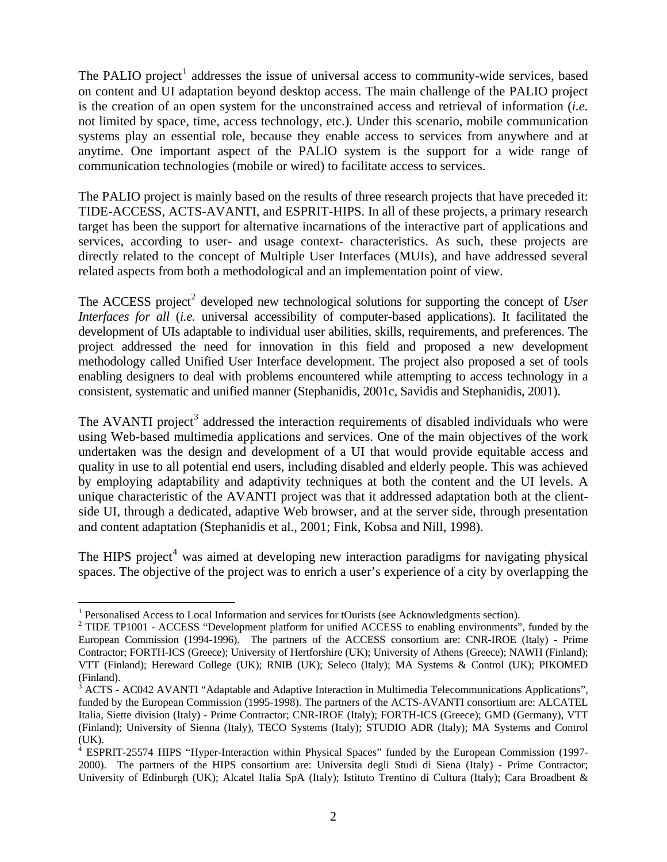The PALIO project<sup>[1](#page-1-0)</sup> addresses the issue of universal access to community-wide services, based on content and UI adaptation beyond desktop access. The main challenge of the PALIO project is the creation of an open system for the unconstrained access and retrieval of information (*i.e.* not limited by space, time, access technology, etc.). Under this scenario, mobile communication systems play an essential role, because they enable access to services from anywhere and at anytime. One important aspect of the PALIO system is the support for a wide range of communication technologies (mobile or wired) to facilitate access to services.

The PALIO project is mainly based on the results of three research projects that have preceded it: TIDE-ACCESS, ACTS-AVANTI, and ESPRIT-HIPS. In all of these projects, a primary research target has been the support for alternative incarnations of the interactive part of applications and services, according to user- and usage context- characteristics. As such, these projects are directly related to the concept of Multiple User Interfaces (MUIs), and have addressed several related aspects from both a methodological and an implementation point of view.

The ACCESS project<sup>[2](#page-1-1)</sup> developed new technological solutions for supporting the concept of *User Interfaces for all* (*i.e.* universal accessibility of computer-based applications). It facilitated the development of UIs adaptable to individual user abilities, skills, requirements, and preferences. The project addressed the need for innovation in this field and proposed a new development methodology called Unified User Interface development. The project also proposed a set of tools enabling designers to deal with problems encountered while attempting to access technology in a consistent, systematic and unified manner (Stephanidis, 2001c, Savidis and Stephanidis, 2001).

The AVANTI project<sup>[3](#page-1-2)</sup> addressed the interaction requirements of disabled individuals who were using Web-based multimedia applications and services. One of the main objectives of the work undertaken was the design and development of a UI that would provide equitable access and quality in use to all potential end users, including disabled and elderly people. This was achieved by employing adaptability and adaptivity techniques at both the content and the UI levels. A unique characteristic of the AVANTI project was that it addressed adaptation both at the clientside UI, through a dedicated, adaptive Web browser, and at the server side, through presentation and content adaptation (Stephanidis et al., 2001; Fink, Kobsa and Nill, 1998).

The HIPS project<sup>[4](#page-1-3)</sup> was aimed at developing new interaction paradigms for navigating physical spaces. The objective of the project was to enrich a user's experience of a city by overlapping the

<sup>&</sup>lt;sup>1</sup> Personalised Access to Local Information and services for tOurists (see Acknowledgments section).<br><sup>2</sup> TIDE TR1001 ACCESS "Davelopment pletform for unified ACCESS to enghling environments"

<span id="page-1-1"></span><span id="page-1-0"></span><sup>&</sup>lt;sup>2</sup> TIDE TP1001 - ACCESS "Development platform for unified ACCESS to enabling environments", funded by the European Commission (1994-1996). The partners of the ACCESS consortium are: CNR-IROE (Italy) - Prime Contractor; FORTH-ICS (Greece); University of Hertforshire (UK); University of Athens (Greece); NAWH (Finland); VTT (Finland); Hereward College (UK); RNIB (UK); Seleco (Italy); MA Systems & Control (UK); PIKOMED (Finland).

<span id="page-1-2"></span> $3$  ACTS - AC042 AVANTI "Adaptable and Adaptive Interaction in Multimedia Telecommunications Applications", funded by the European Commission (1995-1998). The partners of the ACTS-AVANTI consortium are: ALCATEL Italia, Siette division (Italy) - Prime Contractor; CNR-IROE (Italy); FORTH-ICS (Greece); GMD (Germany), VTT (Finland); University of Sienna (Italy), TECO Systems (Italy); STUDIO ADR (Italy); MA Systems and Control (UK).

<span id="page-1-3"></span><sup>&</sup>lt;sup>4</sup> ESPRIT-25574 HIPS "Hyper-Interaction within Physical Spaces" funded by the European Commission (1997-2000). The partners of the HIPS consortium are: Universita degli Studi di Siena (Italy) - Prime Contractor; University of Edinburgh (UK); Alcatel Italia SpA (Italy); Istituto Trentino di Cultura (Italy); Cara Broadbent &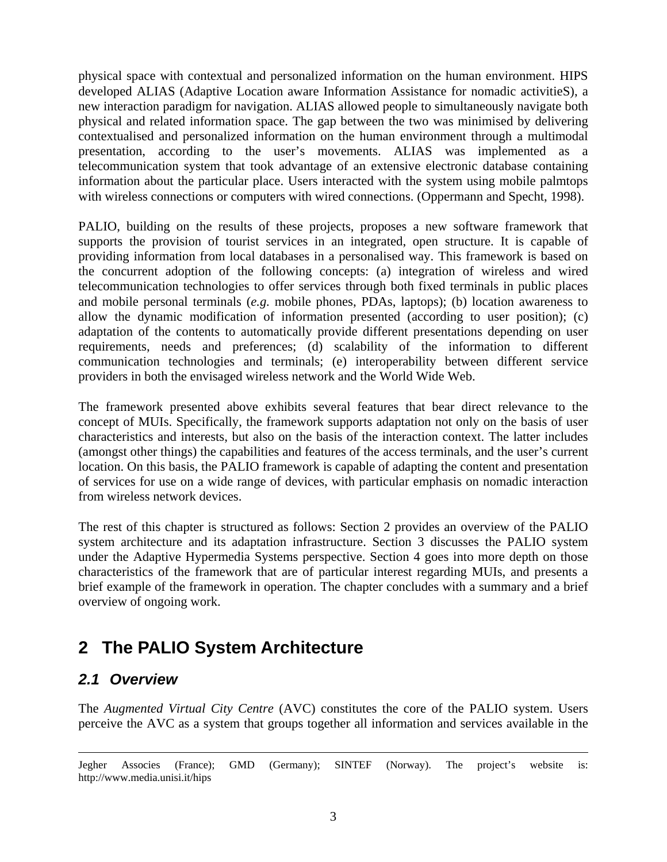physical space with contextual and personalized information on the human environment. HIPS developed ALIAS (Adaptive Location aware Information Assistance for nomadic activitieS), a new interaction paradigm for navigation. ALIAS allowed people to simultaneously navigate both physical and related information space. The gap between the two was minimised by delivering contextualised and personalized information on the human environment through a multimodal presentation, according to the user's movements. ALIAS was implemented as a telecommunication system that took advantage of an extensive electronic database containing information about the particular place. Users interacted with the system using mobile palmtops with wireless connections or computers with wired connections. (Oppermann and Specht, 1998).

PALIO, building on the results of these projects, proposes a new software framework that supports the provision of tourist services in an integrated, open structure. It is capable of providing information from local databases in a personalised way. This framework is based on the concurrent adoption of the following concepts: (a) integration of wireless and wired telecommunication technologies to offer services through both fixed terminals in public places and mobile personal terminals (*e.g.* mobile phones, PDAs, laptops); (b) location awareness to allow the dynamic modification of information presented (according to user position); (c) adaptation of the contents to automatically provide different presentations depending on user requirements, needs and preferences; (d) scalability of the information to different communication technologies and terminals; (e) interoperability between different service providers in both the envisaged wireless network and the World Wide Web.

The framework presented above exhibits several features that bear direct relevance to the concept of MUIs. Specifically, the framework supports adaptation not only on the basis of user characteristics and interests, but also on the basis of the interaction context. The latter includes (amongst other things) the capabilities and features of the access terminals, and the user's current location. On this basis, the PALIO framework is capable of adapting the content and presentation of services for use on a wide range of devices, with particular emphasis on nomadic interaction from wireless network devices.

The rest of this chapter is structured as follows: Section 2 provides an overview of the PALIO system architecture and its adaptation infrastructure. Section 3 discusses the PALIO system under the Adaptive Hypermedia Systems perspective. Section 4 goes into more depth on those characteristics of the framework that are of particular interest regarding MUIs, and presents a brief example of the framework in operation. The chapter concludes with a summary and a brief overview of ongoing work.

# **2 The PALIO System Architecture**

### *2.1 Overview*

The *Augmented Virtual City Centre* (AVC) constitutes the core of the PALIO system. Users perceive the AVC as a system that groups together all information and services available in the

Jegher Associes (France); GMD (Germany); SINTEF (Norway). The project's website is: http://www.media.unisi.it/hips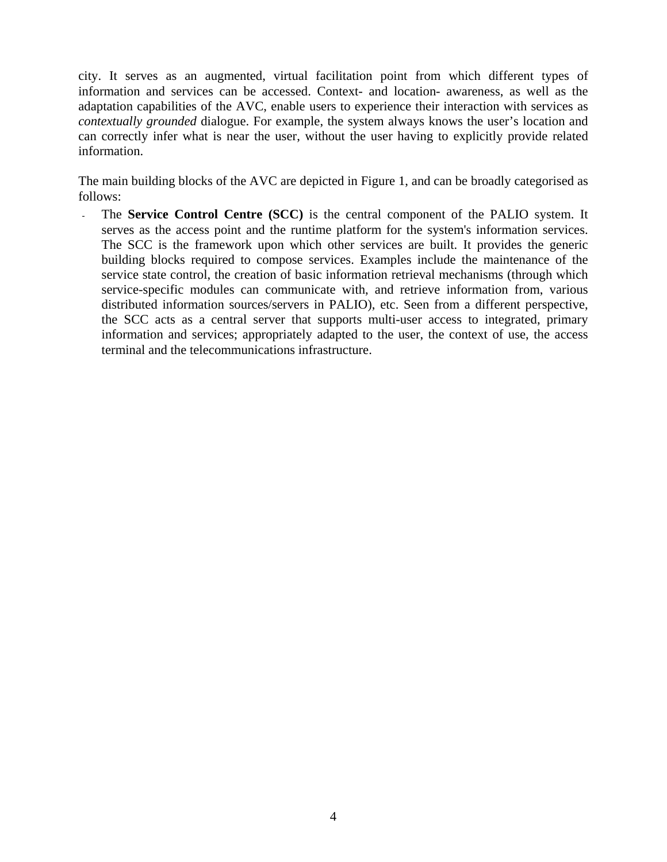city. It serves as an augmented, virtual facilitation point from which different types of information and services can be accessed. Context- and location- awareness, as well as the adaptation capabilities of the AVC, enable users to experience their interaction with services as *contextually grounded* dialogue. For example, the system always knows the user's location and can correctly infer what is near the user, without the user having to explicitly provide related information.

The main building blocks of the AVC are depicted in Figure 1, and can be broadly categorised as follows:

- The **Service Control Centre (SCC)** is the central component of the PALIO system. It serves as the access point and the runtime platform for the system's information services. The SCC is the framework upon which other services are built. It provides the generic building blocks required to compose services. Examples include the maintenance of the service state control, the creation of basic information retrieval mechanisms (through which service-specific modules can communicate with, and retrieve information from, various distributed information sources/servers in PALIO), etc. Seen from a different perspective, the SCC acts as a central server that supports multi-user access to integrated, primary information and services; appropriately adapted to the user, the context of use, the access terminal and the telecommunications infrastructure.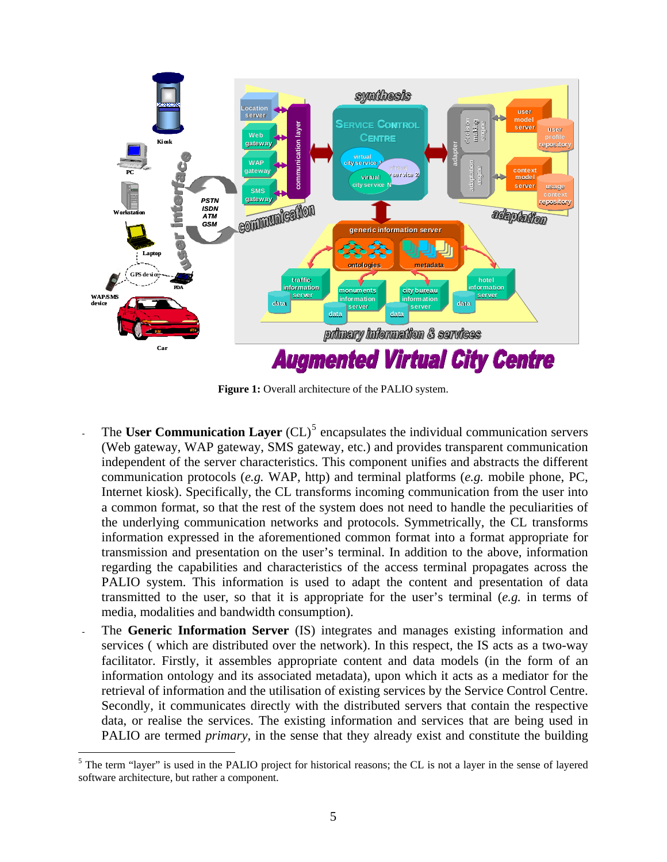

Figure 1: Overall architecture of the PALIO system.

- The User Communication Layer  ${\rm (CL)}^5$  ${\rm (CL)}^5$  encapsulates the individual communication servers (Web gateway, WAP gateway, SMS gateway, etc.) and provides transparent communication independent of the server characteristics. This component unifies and abstracts the different communication protocols (*e.g.* WAP, http) and terminal platforms (*e.g.* mobile phone, PC, Internet kiosk). Specifically, the CL transforms incoming communication from the user into a common format, so that the rest of the system does not need to handle the peculiarities of the underlying communication networks and protocols. Symmetrically, the CL transforms information expressed in the aforementioned common format into a format appropriate for transmission and presentation on the user's terminal. In addition to the above, information regarding the capabilities and characteristics of the access terminal propagates across the PALIO system. This information is used to adapt the content and presentation of data transmitted to the user, so that it is appropriate for the user's terminal (*e.g.* in terms of media, modalities and bandwidth consumption).
- The **Generic Information Server** (IS) integrates and manages existing information and services ( which are distributed over the network). In this respect, the IS acts as a two-way facilitator. Firstly, it assembles appropriate content and data models (in the form of an information ontology and its associated metadata), upon which it acts as a mediator for the retrieval of information and the utilisation of existing services by the Service Control Centre. Secondly, it communicates directly with the distributed servers that contain the respective data, or realise the services. The existing information and services that are being used in PALIO are termed *primary,* in the sense that they already exist and constitute the building

<span id="page-4-0"></span><sup>&</sup>lt;sup>5</sup> The term "layer" is used in the PALIO project for historical reasons; the CL is not a layer in the sense of layered software architecture, but rather a component.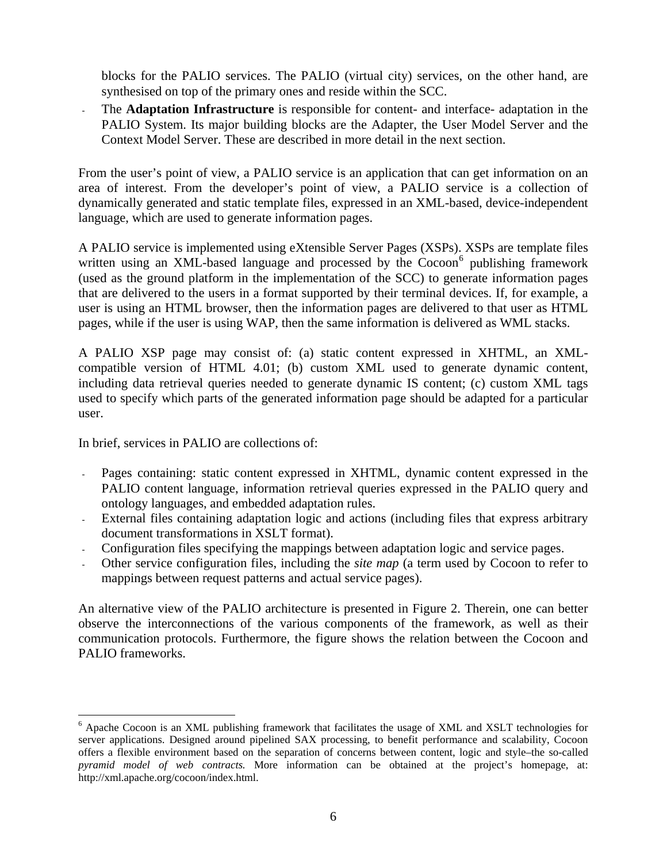blocks for the PALIO services. The PALIO (virtual city) services, on the other hand, are synthesised on top of the primary ones and reside within the SCC.

- The **Adaptation Infrastructure** is responsible for content- and interface- adaptation in the PALIO System. Its major building blocks are the Adapter, the User Model Server and the Context Model Server. These are described in more detail in the next section.

From the user's point of view, a PALIO service is an application that can get information on an area of interest. From the developer's point of view, a PALIO service is a collection of dynamically generated and static template files, expressed in an XML-based, device-independent language, which are used to generate information pages.

A PALIO service is implemented using eXtensible Server Pages (XSPs). XSPs are template files written using an XML-based language and processed by the  $Co$ coon<sup>[6](#page-5-0)</sup> publishing framework (used as the ground platform in the implementation of the SCC) to generate information pages that are delivered to the users in a format supported by their terminal devices. If, for example, a user is using an HTML browser, then the information pages are delivered to that user as HTML pages, while if the user is using WAP, then the same information is delivered as WML stacks.

A PALIO XSP page may consist of: (a) static content expressed in XHTML, an XMLcompatible version of HTML 4.01; (b) custom XML used to generate dynamic content, including data retrieval queries needed to generate dynamic IS content; (c) custom XML tags used to specify which parts of the generated information page should be adapted for a particular user.

In brief, services in PALIO are collections of:

 $\overline{a}$ 

- Pages containing: static content expressed in XHTML, dynamic content expressed in the PALIO content language, information retrieval queries expressed in the PALIO query and ontology languages, and embedded adaptation rules.
- External files containing adaptation logic and actions (including files that express arbitrary document transformations in XSLT format).
- Configuration files specifying the mappings between adaptation logic and service pages.
- Other service configuration files, including the *site map* (a term used by Cocoon to refer to mappings between request patterns and actual service pages).

An alternative view of the PALIO architecture is presented in [Figure 2.](#page-6-0) Therein, one can better observe the interconnections of the various components of the framework, as well as their communication protocols. Furthermore, the figure shows the relation between the Cocoon and PALIO frameworks.

<span id="page-5-0"></span><sup>&</sup>lt;sup>6</sup> Apache Cocoon is an XML publishing framework that facilitates the usage of XML and XSLT technologies for server applications. Designed around pipelined SAX processing, to benefit performance and scalability, Cocoon offers a flexible environment based on the separation of concerns between content, logic and style–the so-called *pyramid model of web contracts.* More information can be obtained at the project's homepage, at: http://xml.apache.org/cocoon/index.html.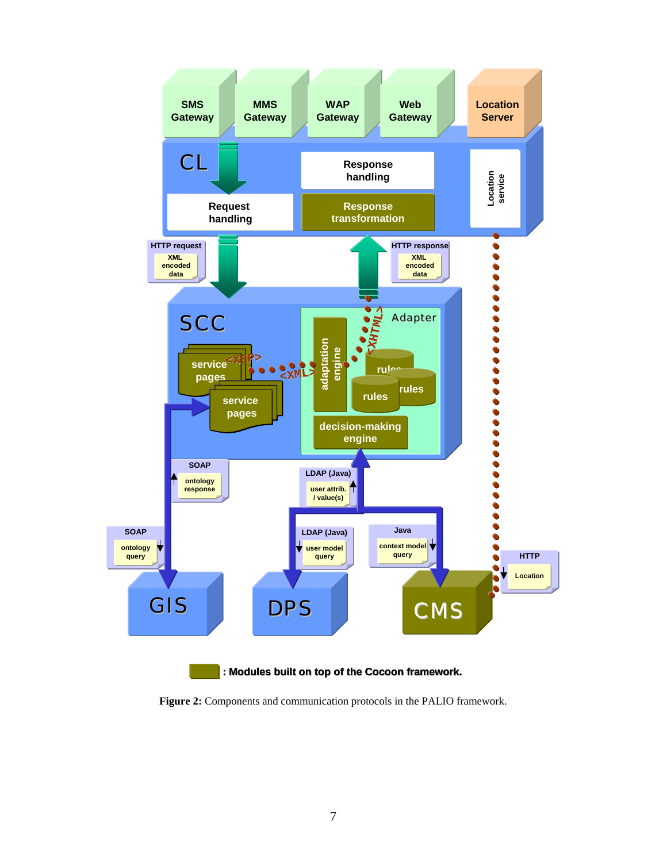

<span id="page-6-0"></span>Figure 2: Components and communication protocols in the PALIO framework.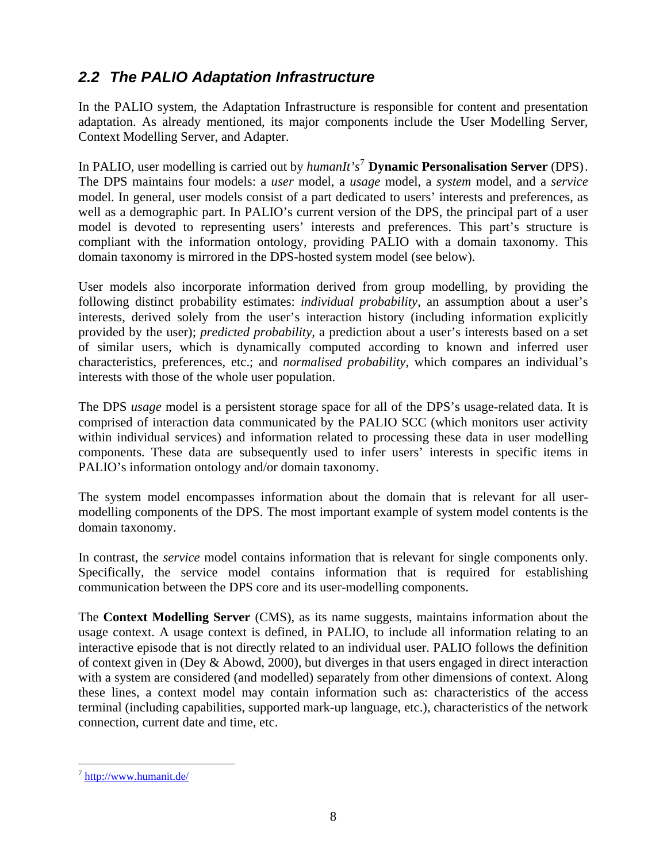## <span id="page-7-1"></span>*2.2 The PALIO Adaptation Infrastructure*

In the PALIO system, the Adaptation Infrastructure is responsible for content and presentation adaptation. As already mentioned, its major components include the User Modelling Server, Context Modelling Server, and Adapter.

In PALIO, user modelling is carried out by *humanIt's*[7](#page-7-0) **Dynamic Personalisation Server** (DPS). The DPS maintains four models: a *user* model, a *usage* model, a *system* model, and a *service* model. In general, user models consist of a part dedicated to users' interests and preferences, as well as a demographic part. In PALIO's current version of the DPS, the principal part of a user model is devoted to representing users' interests and preferences. This part's structure is compliant with the information ontology, providing PALIO with a domain taxonomy. This domain taxonomy is mirrored in the DPS-hosted system model (see below).

User models also incorporate information derived from group modelling, by providing the following distinct probability estimates: *individual probability*, an assumption about a user's interests, derived solely from the user's interaction history (including information explicitly provided by the user); *predicted probability,* a prediction about a user's interests based on a set of similar users, which is dynamically computed according to known and inferred user characteristics, preferences, etc.; and *normalised probability*, which compares an individual's interests with those of the whole user population.

The DPS *usage* model is a persistent storage space for all of the DPS's usage-related data. It is comprised of interaction data communicated by the PALIO SCC (which monitors user activity within individual services) and information related to processing these data in user modelling components. These data are subsequently used to infer users' interests in specific items in PALIO's information ontology and/or domain taxonomy.

The system model encompasses information about the domain that is relevant for all usermodelling components of the DPS. The most important example of system model contents is the domain taxonomy.

In contrast, the *service* model contains information that is relevant for single components only. Specifically, the service model contains information that is required for establishing communication between the DPS core and its user-modelling components.

The **Context Modelling Server** (CMS), as its name suggests, maintains information about the usage context. A usage context is defined, in PALIO, to include all information relating to an interactive episode that is not directly related to an individual user. PALIO follows the definition of context given in (Dey & Abowd, 2000), but diverges in that users engaged in direct interaction with a system are considered (and modelled) separately from other dimensions of context. Along these lines, a context model may contain information such as: characteristics of the access terminal (including capabilities, supported mark-up language, etc.), characteristics of the network connection, current date and time, etc.

<u>.</u>

<span id="page-7-0"></span> $^7$  $^7$  <http://www.humanit.de/>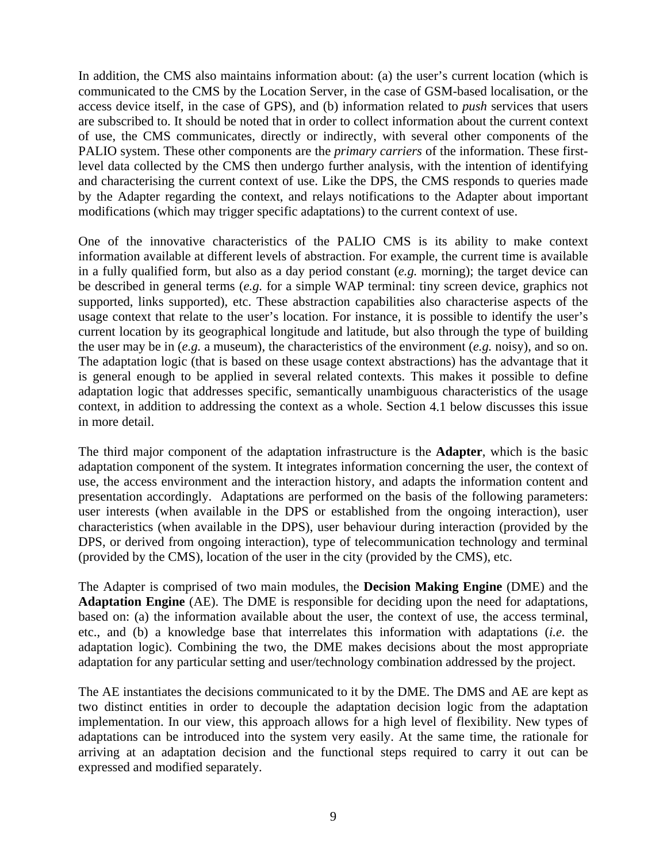In addition, the CMS also maintains information about: (a) the user's current location (which is communicated to the CMS by the Location Server, in the case of GSM-based localisation, or the access device itself, in the case of GPS), and (b) information related to *push* services that users are subscribed to. It should be noted that in order to collect information about the current context of use, the CMS communicates, directly or indirectly, with several other components of the PALIO system. These other components are the *primary carriers* of the information. These firstlevel data collected by the CMS then undergo further analysis, with the intention of identifying and characterising the current context of use. Like the DPS, the CMS responds to queries made by the Adapter regarding the context, and relays notifications to the Adapter about important modifications (which may trigger specific adaptations) to the current context of use.

One of the innovative characteristics of the PALIO CMS is its ability to make context information available at different levels of abstraction. For example, the current time is available in a fully qualified form, but also as a day period constant (*e.g.* morning); the target device can be described in general terms (*e.g.* for a simple WAP terminal: tiny screen device, graphics not supported, links supported), etc. These abstraction capabilities also characterise aspects of the usage context that relate to the user's location. For instance, it is possible to identify the user's current location by its geographical longitude and latitude, but also through the type of building the user may be in (*e.g.* a museum), the characteristics of the environment (*e.g.* noisy), and so on. The adaptation logic (that is based on these usage context abstractions) has the advantage that it is general enough to be applied in several related contexts. This makes it possible to define adaptation logic that addresses specific, semantically unambiguous characteristics of the usage context, in addition to addressing the context as a whole. Section [4.1 below](#page-15-0) discusses this issue in more detail.

The third major component of the adaptation infrastructure is the **Adapter**, which is the basic adaptation component of the system. It integrates information concerning the user, the context of use, the access environment and the interaction history, and adapts the information content and presentation accordingly. Adaptations are performed on the basis of the following parameters: user interests (when available in the DPS or established from the ongoing interaction), user characteristics (when available in the DPS), user behaviour during interaction (provided by the DPS, or derived from ongoing interaction), type of telecommunication technology and terminal (provided by the CMS), location of the user in the city (provided by the CMS), etc.

The Adapter is comprised of two main modules, the **Decision Making Engine** (DME) and the **Adaptation Engine** (AE). The DME is responsible for deciding upon the need for adaptations, based on: (a) the information available about the user, the context of use, the access terminal, etc., and (b) a knowledge base that interrelates this information with adaptations (*i.e.* the adaptation logic). Combining the two, the DME makes decisions about the most appropriate adaptation for any particular setting and user/technology combination addressed by the project.

The AE instantiates the decisions communicated to it by the DME. The DMS and AE are kept as two distinct entities in order to decouple the adaptation decision logic from the adaptation implementation. In our view, this approach allows for a high level of flexibility. New types of adaptations can be introduced into the system very easily. At the same time, the rationale for arriving at an adaptation decision and the functional steps required to carry it out can be expressed and modified separately.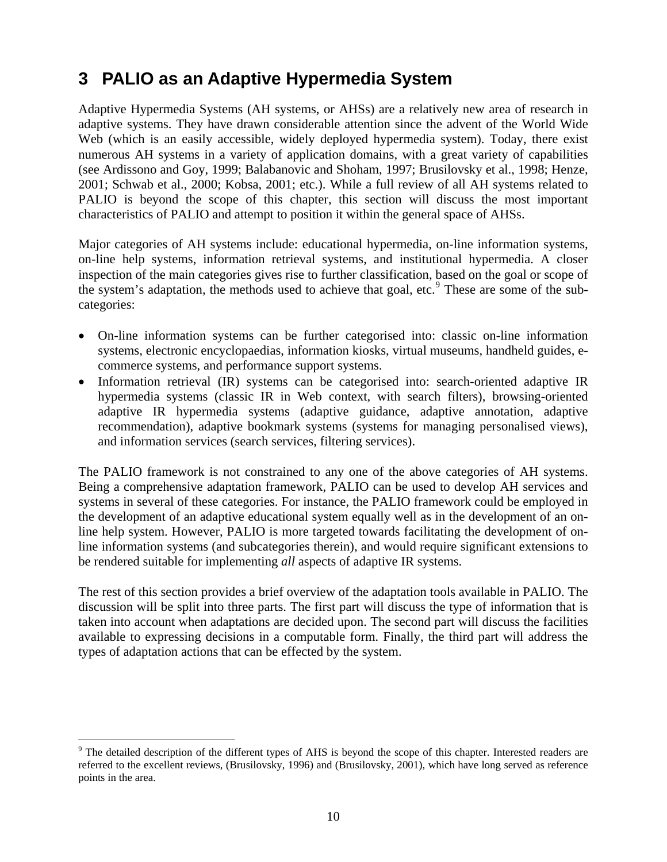# **3 PALIO as an Adaptive Hypermedia System**

Adaptive Hypermedia Systems (AH systems, or AHSs) are a relatively new area of research in adaptive systems. They have drawn considerable attention since the advent of the World Wide Web (which is an easily accessible, widely deployed hypermedia system). Today, there exist numerous AH systems in a variety of application domains, with a great variety of capabilities (see Ardissono and Goy, 1999; Balabanovic and Shoham, 1997; Brusilovsky et al., 1998; Henze, 2001; Schwab et al., 2000; Kobsa, 2001; etc.). While a full review of all AH systems related to PALIO is beyond the scope of this chapter, this section will discuss the most important characteristics of PALIO and attempt to position it within the general space of AHSs.

Major categories of AH systems include: educational hypermedia, on-line information systems, on-line help systems, information retrieval systems, and institutional hypermedia. A closer inspection of the main categories gives rise to further classification, based on the goal or scope of the system's adaptation, the methods used to achieve that goal, etc.<sup>[9](#page-9-0)</sup> These are some of the subcategories:

- On-line information systems can be further categorised into: classic on-line information systems, electronic encyclopaedias, information kiosks, virtual museums, handheld guides, ecommerce systems, and performance support systems.
- Information retrieval (IR) systems can be categorised into: search-oriented adaptive IR hypermedia systems (classic IR in Web context, with search filters), browsing-oriented adaptive IR hypermedia systems (adaptive guidance, adaptive annotation, adaptive recommendation), adaptive bookmark systems (systems for managing personalised views), and information services (search services, filtering services).

The PALIO framework is not constrained to any one of the above categories of AH systems. Being a comprehensive adaptation framework, PALIO can be used to develop AH services and systems in several of these categories. For instance, the PALIO framework could be employed in the development of an adaptive educational system equally well as in the development of an online help system. However, PALIO is more targeted towards facilitating the development of online information systems (and subcategories therein), and would require significant extensions to be rendered suitable for implementing *all* aspects of adaptive IR systems.

The rest of this section provides a brief overview of the adaptation tools available in PALIO. The discussion will be split into three parts. The first part will discuss the type of information that is taken into account when adaptations are decided upon. The second part will discuss the facilities available to expressing decisions in a computable form. Finally, the third part will address the types of adaptation actions that can be effected by the system.

 $\overline{a}$ 

<span id="page-9-0"></span><sup>&</sup>lt;sup>9</sup> The detailed description of the different types of AHS is beyond the scope of this chapter. Interested readers are referred to the excellent reviews, (Brusilovsky, 1996) and (Brusilovsky, 2001), which have long served as reference points in the area.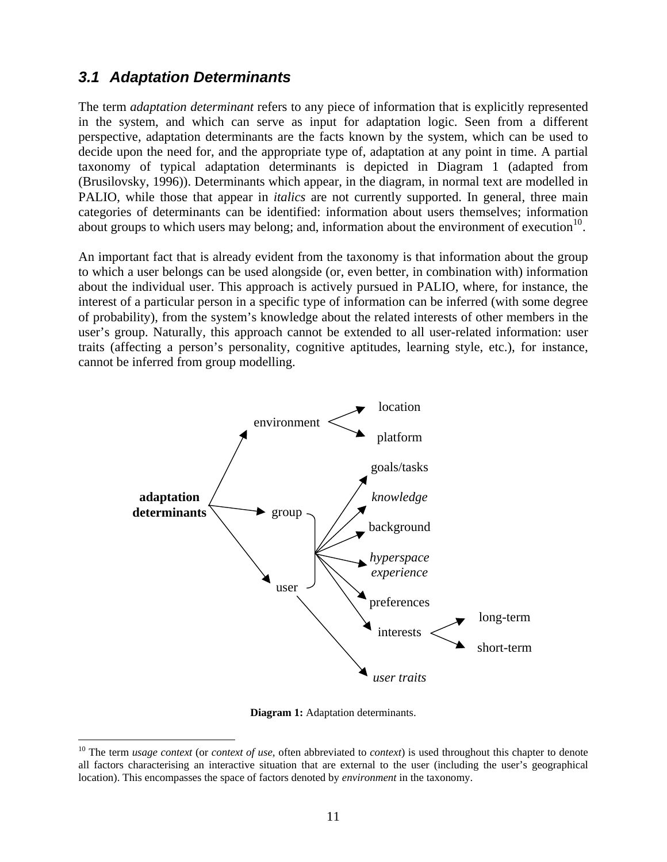### *3.1 Adaptation Determinants*

<span id="page-10-1"></span> $\overline{a}$ 

The term *adaptation determinant* refers to any piece of information that is explicitly represented in the system, and which can serve as input for adaptation logic. Seen from a different perspective, adaptation determinants are the facts known by the system, which can be used to decide upon the need for, and the appropriate type of, adaptation at any point in time. A partial taxonomy of typical adaptation determinants is depicted in [Diagram 1](#page-10-1) (adapted from (Brusilovsky, 1996)). Determinants which appear, in the diagram, in normal text are modelled in PALIO, while those that appear in *italics* are not currently supported. In general, three main categories of determinants can be identified: information about users themselves; information about groups to which users may belong; and, information about the environment of execution<sup>[10](#page-10-0)</sup>.

An important fact that is already evident from the taxonomy is that information about the group to which a user belongs can be used alongside (or, even better, in combination with) information about the individual user. This approach is actively pursued in PALIO, where, for instance, the interest of a particular person in a specific type of information can be inferred (with some degree of probability), from the system's knowledge about the related interests of other members in the user's group. Naturally, this approach cannot be extended to all user-related information: user traits (affecting a person's personality, cognitive aptitudes, learning style, etc.), for instance, cannot be inferred from group modelling.



**Diagram 1:** Adaptation determinants.

<span id="page-10-0"></span><sup>&</sup>lt;sup>10</sup> The term *usage context* (or *context of use*, often abbreviated to *context*) is used throughout this chapter to denote all factors characterising an interactive situation that are external to the user (including the user's geographical location). This encompasses the space of factors denoted by *environment* in the taxonomy.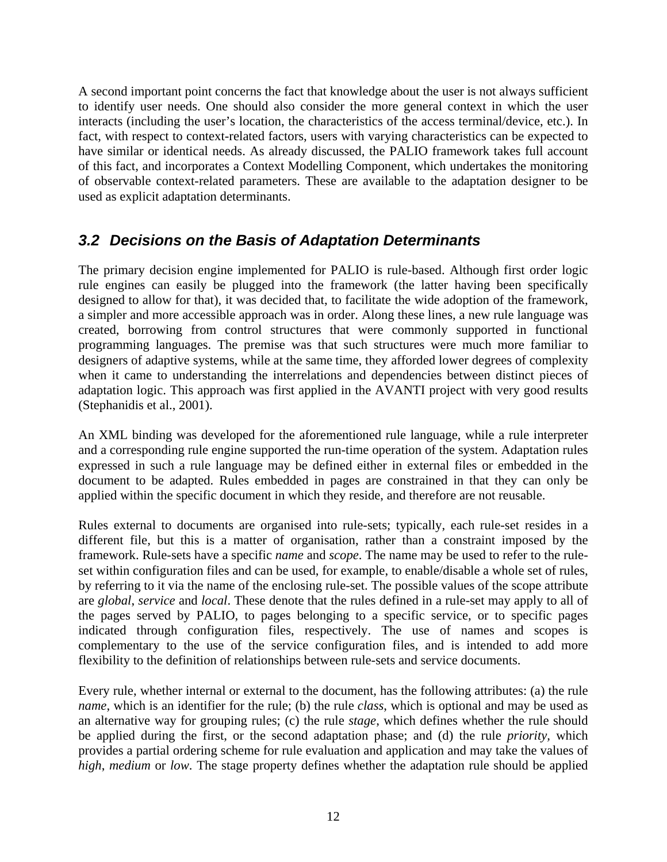A second important point concerns the fact that knowledge about the user is not always sufficient to identify user needs. One should also consider the more general context in which the user interacts (including the user's location, the characteristics of the access terminal/device, etc.). In fact, with respect to context-related factors, users with varying characteristics can be expected to have similar or identical needs. As already discussed, the PALIO framework takes full account of this fact, and incorporates a Context Modelling Component, which undertakes the monitoring of observable context-related parameters. These are available to the adaptation designer to be used as explicit adaptation determinants.

### *3.2 Decisions on the Basis of Adaptation Determinants*

The primary decision engine implemented for PALIO is rule-based. Although first order logic rule engines can easily be plugged into the framework (the latter having been specifically designed to allow for that), it was decided that, to facilitate the wide adoption of the framework, a simpler and more accessible approach was in order. Along these lines, a new rule language was created, borrowing from control structures that were commonly supported in functional programming languages. The premise was that such structures were much more familiar to designers of adaptive systems, while at the same time, they afforded lower degrees of complexity when it came to understanding the interrelations and dependencies between distinct pieces of adaptation logic. This approach was first applied in the AVANTI project with very good results (Stephanidis et al., 2001).

An XML binding was developed for the aforementioned rule language, while a rule interpreter and a corresponding rule engine supported the run-time operation of the system. Adaptation rules expressed in such a rule language may be defined either in external files or embedded in the document to be adapted. Rules embedded in pages are constrained in that they can only be applied within the specific document in which they reside, and therefore are not reusable.

Rules external to documents are organised into rule-sets; typically, each rule-set resides in a different file, but this is a matter of organisation, rather than a constraint imposed by the framework. Rule-sets have a specific *name* and *scope*. The name may be used to refer to the ruleset within configuration files and can be used, for example, to enable/disable a whole set of rules, by referring to it via the name of the enclosing rule-set. The possible values of the scope attribute are *global*, *service* and *local*. These denote that the rules defined in a rule-set may apply to all of the pages served by PALIO, to pages belonging to a specific service, or to specific pages indicated through configuration files, respectively. The use of names and scopes is complementary to the use of the service configuration files, and is intended to add more flexibility to the definition of relationships between rule-sets and service documents.

Every rule, whether internal or external to the document, has the following attributes: (a) the rule *name*, which is an identifier for the rule; (b) the rule *class*, which is optional and may be used as an alternative way for grouping rules; (c) the rule *stage*, which defines whether the rule should be applied during the first, or the second adaptation phase; and (d) the rule *priority,* which provides a partial ordering scheme for rule evaluation and application and may take the values of *high*, *medium* or *low*. The stage property defines whether the adaptation rule should be applied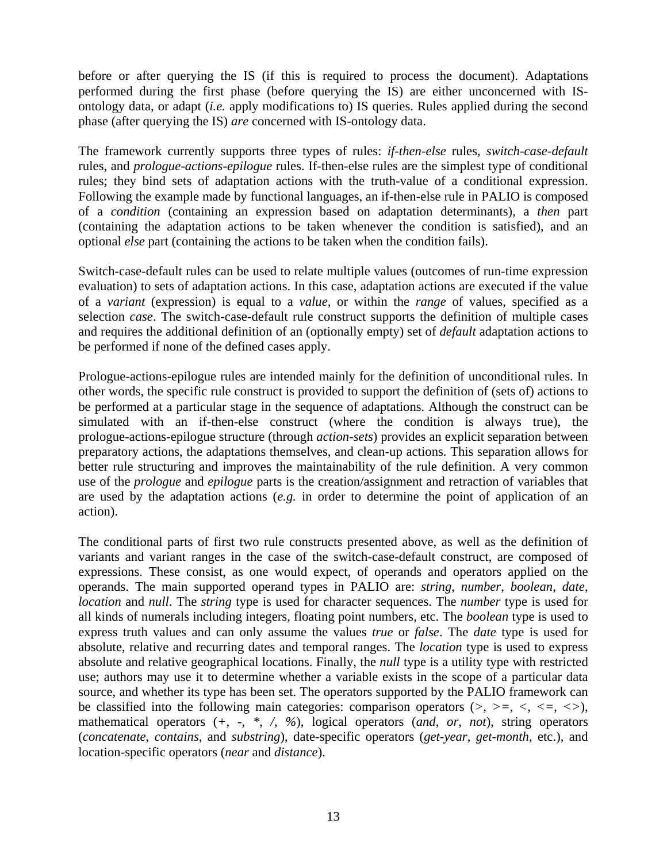before or after querying the IS (if this is required to process the document). Adaptations performed during the first phase (before querying the IS) are either unconcerned with ISontology data, or adapt (*i.e.* apply modifications to) IS queries. Rules applied during the second phase (after querying the IS) *are* concerned with IS-ontology data.

The framework currently supports three types of rules: *if-then-else* rules, *switch-case-default* rules, and *prologue-actions-epilogue* rules. If-then-else rules are the simplest type of conditional rules; they bind sets of adaptation actions with the truth-value of a conditional expression. Following the example made by functional languages, an if-then-else rule in PALIO is composed of a *condition* (containing an expression based on adaptation determinants), a *then* part (containing the adaptation actions to be taken whenever the condition is satisfied), and an optional *else* part (containing the actions to be taken when the condition fails).

Switch-case-default rules can be used to relate multiple values (outcomes of run-time expression evaluation) to sets of adaptation actions. In this case, adaptation actions are executed if the value of a *variant* (expression) is equal to a *value*, or within the *range* of values, specified as a selection *case*. The switch-case-default rule construct supports the definition of multiple cases and requires the additional definition of an (optionally empty) set of *default* adaptation actions to be performed if none of the defined cases apply.

Prologue-actions-epilogue rules are intended mainly for the definition of unconditional rules. In other words, the specific rule construct is provided to support the definition of (sets of) actions to be performed at a particular stage in the sequence of adaptations. Although the construct can be simulated with an if-then-else construct (where the condition is always true), the prologue-actions-epilogue structure (through *action-sets*) provides an explicit separation between preparatory actions, the adaptations themselves, and clean-up actions. This separation allows for better rule structuring and improves the maintainability of the rule definition. A very common use of the *prologue* and *epilogue* parts is the creation/assignment and retraction of variables that are used by the adaptation actions (*e.g.* in order to determine the point of application of an action).

The conditional parts of first two rule constructs presented above, as well as the definition of variants and variant ranges in the case of the switch-case-default construct, are composed of expressions. These consist, as one would expect, of operands and operators applied on the operands. The main supported operand types in PALIO are: *string*, *number*, *boolean*, *date*, *location* and *null*. The *string* type is used for character sequences. The *number* type is used for all kinds of numerals including integers, floating point numbers, etc. The *boolean* type is used to express truth values and can only assume the values *true* or *false*. The *date* type is used for absolute, relative and recurring dates and temporal ranges. The *location* type is used to express absolute and relative geographical locations. Finally, the *null* type is a utility type with restricted use; authors may use it to determine whether a variable exists in the scope of a particular data source, and whether its type has been set. The operators supported by the PALIO framework can be classified into the following main categories: comparison operators (*>*, *>=*, *<*, *<=*, *<>*), mathematical operators (*+*, *-*, *\**, */*, *%*), logical operators (*and*, *or*, *not*), string operators (*concatenate*, *contains*, and *substring*), date-specific operators (*get-year*, *get-month*, etc.), and location-specific operators (*near* and *distance*).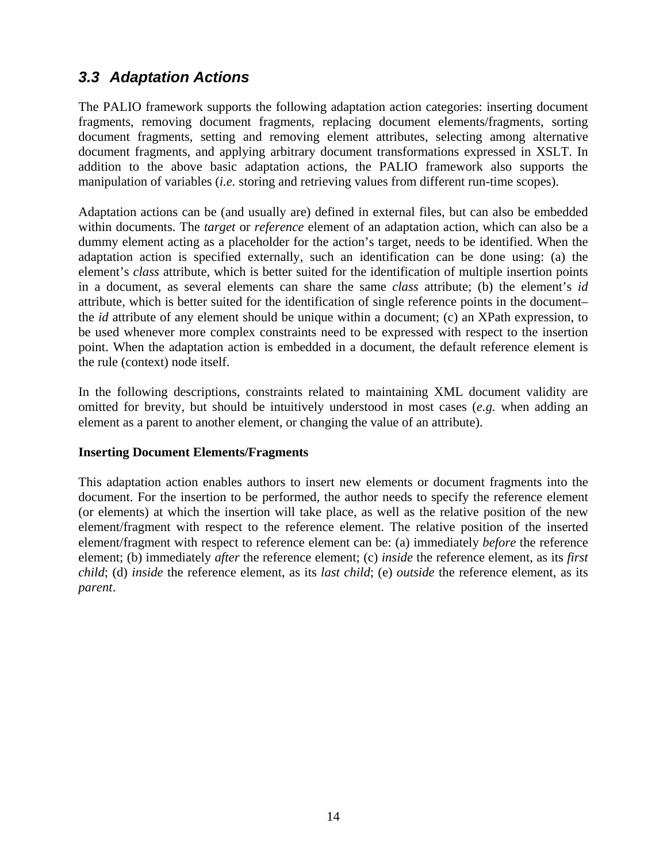## *3.3 Adaptation Actions*

The PALIO framework supports the following adaptation action categories: inserting document fragments, removing document fragments, replacing document elements/fragments, sorting document fragments, setting and removing element attributes, selecting among alternative document fragments, and applying arbitrary document transformations expressed in XSLT. In addition to the above basic adaptation actions, the PALIO framework also supports the manipulation of variables (*i.e.* storing and retrieving values from different run-time scopes).

Adaptation actions can be (and usually are) defined in external files, but can also be embedded within documents. The *target* or *reference* element of an adaptation action, which can also be a dummy element acting as a placeholder for the action's target, needs to be identified. When the adaptation action is specified externally, such an identification can be done using: (a) the element's *class* attribute, which is better suited for the identification of multiple insertion points in a document, as several elements can share the same *class* attribute; (b) the element's *id* attribute, which is better suited for the identification of single reference points in the document– the *id* attribute of any element should be unique within a document; (c) an XPath expression, to be used whenever more complex constraints need to be expressed with respect to the insertion point. When the adaptation action is embedded in a document, the default reference element is the rule (context) node itself.

In the following descriptions, constraints related to maintaining XML document validity are omitted for brevity, but should be intuitively understood in most cases (*e.g.* when adding an element as a parent to another element, or changing the value of an attribute).

#### **Inserting Document Elements/Fragments**

This adaptation action enables authors to insert new elements or document fragments into the document. For the insertion to be performed, the author needs to specify the reference element (or elements) at which the insertion will take place, as well as the relative position of the new element/fragment with respect to the reference element. The relative position of the inserted element/fragment with respect to reference element can be: (a) immediately *before* the reference element; (b) immediately *after* the reference element; (c) *inside* the reference element, as its *first child*; (d) *inside* the reference element, as its *last child*; (e) *outside* the reference element, as its *parent*.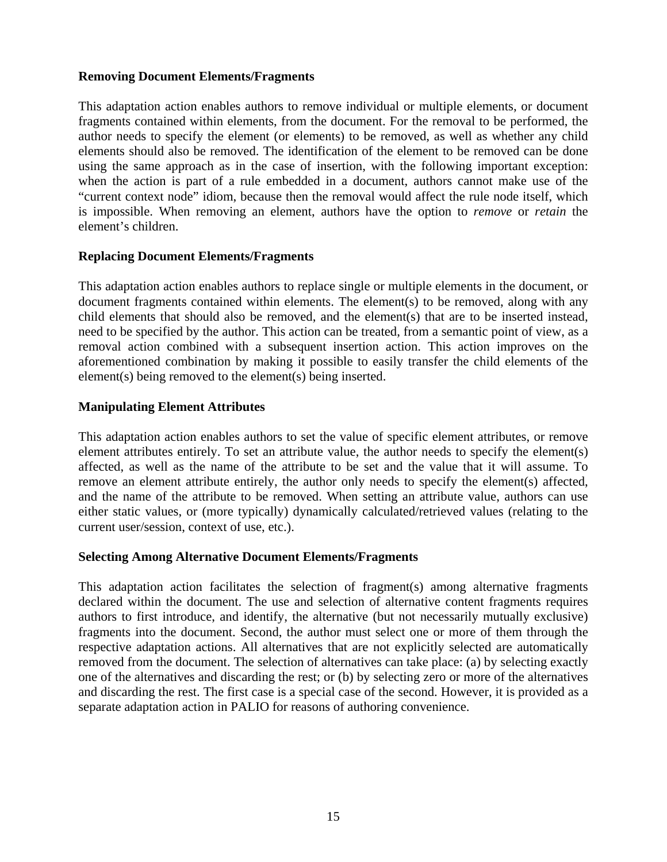#### **Removing Document Elements/Fragments**

This adaptation action enables authors to remove individual or multiple elements, or document fragments contained within elements, from the document. For the removal to be performed, the author needs to specify the element (or elements) to be removed, as well as whether any child elements should also be removed. The identification of the element to be removed can be done using the same approach as in the case of insertion, with the following important exception: when the action is part of a rule embedded in a document, authors cannot make use of the "current context node" idiom, because then the removal would affect the rule node itself, which is impossible. When removing an element, authors have the option to *remove* or *retain* the element's children.

#### **Replacing Document Elements/Fragments**

This adaptation action enables authors to replace single or multiple elements in the document, or document fragments contained within elements. The element(s) to be removed, along with any child elements that should also be removed, and the element(s) that are to be inserted instead, need to be specified by the author. This action can be treated, from a semantic point of view, as a removal action combined with a subsequent insertion action. This action improves on the aforementioned combination by making it possible to easily transfer the child elements of the element(s) being removed to the element(s) being inserted.

#### **Manipulating Element Attributes**

This adaptation action enables authors to set the value of specific element attributes, or remove element attributes entirely. To set an attribute value, the author needs to specify the element(s) affected, as well as the name of the attribute to be set and the value that it will assume. To remove an element attribute entirely, the author only needs to specify the element(s) affected, and the name of the attribute to be removed. When setting an attribute value, authors can use either static values, or (more typically) dynamically calculated/retrieved values (relating to the current user/session, context of use, etc.).

#### **Selecting Among Alternative Document Elements/Fragments**

This adaptation action facilitates the selection of fragment(s) among alternative fragments declared within the document. The use and selection of alternative content fragments requires authors to first introduce, and identify, the alternative (but not necessarily mutually exclusive) fragments into the document. Second, the author must select one or more of them through the respective adaptation actions. All alternatives that are not explicitly selected are automatically removed from the document. The selection of alternatives can take place: (a) by selecting exactly one of the alternatives and discarding the rest; or (b) by selecting zero or more of the alternatives and discarding the rest. The first case is a special case of the second. However, it is provided as a separate adaptation action in PALIO for reasons of authoring convenience.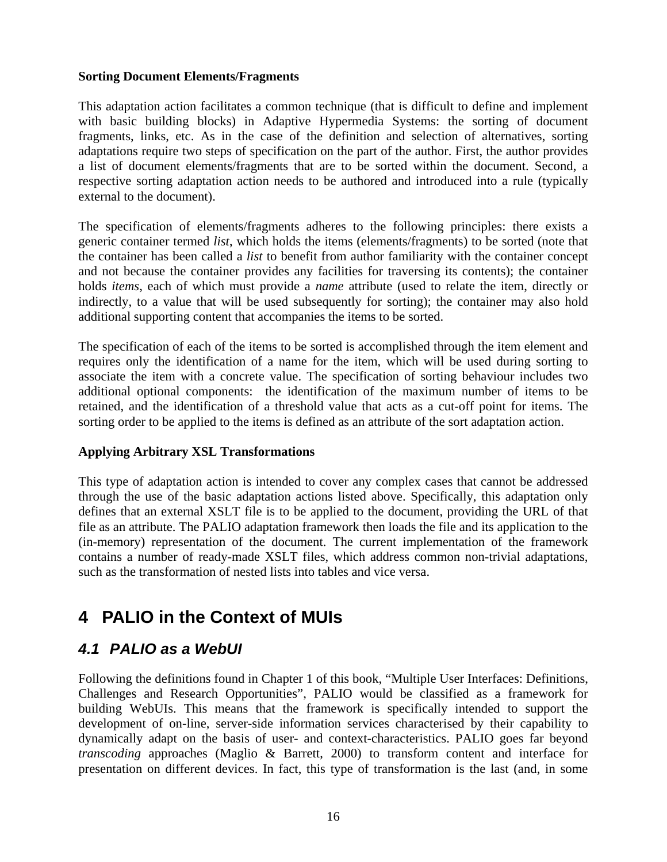#### **Sorting Document Elements/Fragments**

This adaptation action facilitates a common technique (that is difficult to define and implement with basic building blocks) in Adaptive Hypermedia Systems: the sorting of document fragments, links, etc. As in the case of the definition and selection of alternatives, sorting adaptations require two steps of specification on the part of the author. First, the author provides a list of document elements/fragments that are to be sorted within the document. Second, a respective sorting adaptation action needs to be authored and introduced into a rule (typically external to the document).

The specification of elements/fragments adheres to the following principles: there exists a generic container termed *list*, which holds the items (elements/fragments) to be sorted (note that the container has been called a *list* to benefit from author familiarity with the container concept and not because the container provides any facilities for traversing its contents); the container holds *items*, each of which must provide a *name* attribute (used to relate the item, directly or indirectly, to a value that will be used subsequently for sorting); the container may also hold additional supporting content that accompanies the items to be sorted.

The specification of each of the items to be sorted is accomplished through the item element and requires only the identification of a name for the item, which will be used during sorting to associate the item with a concrete value. The specification of sorting behaviour includes two additional optional components: the identification of the maximum number of items to be retained, and the identification of a threshold value that acts as a cut-off point for items. The sorting order to be applied to the items is defined as an attribute of the sort adaptation action.

#### **Applying Arbitrary XSL Transformations**

This type of adaptation action is intended to cover any complex cases that cannot be addressed through the use of the basic adaptation actions listed above. Specifically, this adaptation only defines that an external XSLT file is to be applied to the document, providing the URL of that file as an attribute. The PALIO adaptation framework then loads the file and its application to the (in-memory) representation of the document. The current implementation of the framework contains a number of ready-made XSLT files, which address common non-trivial adaptations, such as the transformation of nested lists into tables and vice versa.

# **4 PALIO in the Context of MUIs**

## <span id="page-15-0"></span>*4.1 PALIO as a WebUI*

Following the definitions found in Chapter 1 of this book, "Multiple User Interfaces: Definitions, Challenges and Research Opportunities", PALIO would be classified as a framework for building WebUIs. This means that the framework is specifically intended to support the development of on-line, server-side information services characterised by their capability to dynamically adapt on the basis of user- and context-characteristics. PALIO goes far beyond *transcoding* approaches (Maglio & Barrett, 2000) to transform content and interface for presentation on different devices. In fact, this type of transformation is the last (and, in some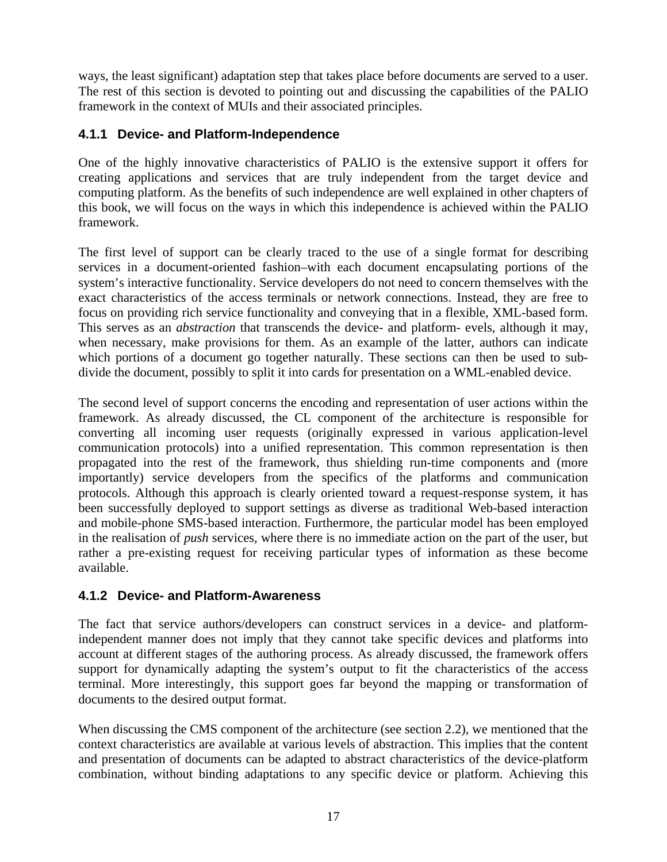ways, the least significant) adaptation step that takes place before documents are served to a user. The rest of this section is devoted to pointing out and discussing the capabilities of the PALIO framework in the context of MUIs and their associated principles.

### **4.1.1 Device- and Platform-Independence**

One of the highly innovative characteristics of PALIO is the extensive support it offers for creating applications and services that are truly independent from the target device and computing platform. As the benefits of such independence are well explained in other chapters of this book, we will focus on the ways in which this independence is achieved within the PALIO framework.

The first level of support can be clearly traced to the use of a single format for describing services in a document-oriented fashion–with each document encapsulating portions of the system's interactive functionality. Service developers do not need to concern themselves with the exact characteristics of the access terminals or network connections. Instead, they are free to focus on providing rich service functionality and conveying that in a flexible, XML-based form. This serves as an *abstraction* that transcends the device- and platform- evels, although it may, when necessary, make provisions for them. As an example of the latter, authors can indicate which portions of a document go together naturally. These sections can then be used to subdivide the document, possibly to split it into cards for presentation on a WML-enabled device.

The second level of support concerns the encoding and representation of user actions within the framework. As already discussed, the CL component of the architecture is responsible for converting all incoming user requests (originally expressed in various application-level communication protocols) into a unified representation. This common representation is then propagated into the rest of the framework, thus shielding run-time components and (more importantly) service developers from the specifics of the platforms and communication protocols. Although this approach is clearly oriented toward a request-response system, it has been successfully deployed to support settings as diverse as traditional Web-based interaction and mobile-phone SMS-based interaction. Furthermore, the particular model has been employed in the realisation of *push* services, where there is no immediate action on the part of the user, but rather a pre-existing request for receiving particular types of information as these become available.

#### **4.1.2 Device- and Platform-Awareness**

The fact that service authors/developers can construct services in a device- and platformindependent manner does not imply that they cannot take specific devices and platforms into account at different stages of the authoring process. As already discussed, the framework offers support for dynamically adapting the system's output to fit the characteristics of the access terminal. More interestingly, this support goes far beyond the mapping or transformation of documents to the desired output format.

When discussing the CMS component of the architecture (see section [2.2\)](#page-7-1), we mentioned that the context characteristics are available at various levels of abstraction. This implies that the content and presentation of documents can be adapted to abstract characteristics of the device-platform combination, without binding adaptations to any specific device or platform. Achieving this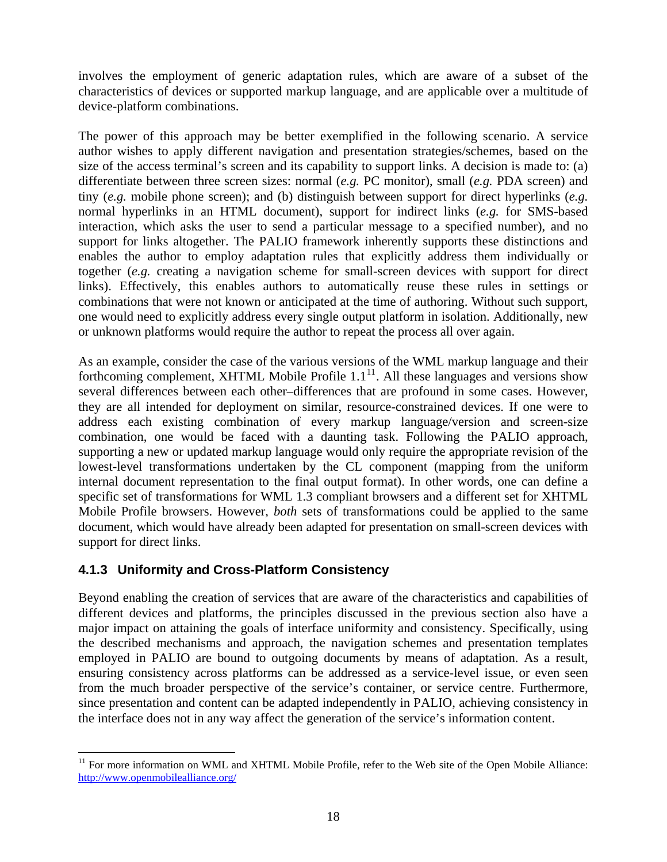involves the employment of generic adaptation rules, which are aware of a subset of the characteristics of devices or supported markup language, and are applicable over a multitude of device-platform combinations.

The power of this approach may be better exemplified in the following scenario. A service author wishes to apply different navigation and presentation strategies/schemes, based on the size of the access terminal's screen and its capability to support links. A decision is made to: (a) differentiate between three screen sizes: normal (*e.g.* PC monitor), small (*e.g.* PDA screen) and tiny (*e.g.* mobile phone screen); and (b) distinguish between support for direct hyperlinks (*e.g.* normal hyperlinks in an HTML document), support for indirect links (*e.g.* for SMS-based interaction, which asks the user to send a particular message to a specified number), and no support for links altogether. The PALIO framework inherently supports these distinctions and enables the author to employ adaptation rules that explicitly address them individually or together (*e.g.* creating a navigation scheme for small-screen devices with support for direct links). Effectively, this enables authors to automatically reuse these rules in settings or combinations that were not known or anticipated at the time of authoring. Without such support, one would need to explicitly address every single output platform in isolation. Additionally, new or unknown platforms would require the author to repeat the process all over again.

As an example, consider the case of the various versions of the WML markup language and their forthcoming complement, XHTML Mobile Profile  $1.1<sup>11</sup>$  $1.1<sup>11</sup>$  $1.1<sup>11</sup>$ . All these languages and versions show several differences between each other–differences that are profound in some cases. However, they are all intended for deployment on similar, resource-constrained devices. If one were to address each existing combination of every markup language/version and screen-size combination, one would be faced with a daunting task. Following the PALIO approach, supporting a new or updated markup language would only require the appropriate revision of the lowest-level transformations undertaken by the CL component (mapping from the uniform internal document representation to the final output format). In other words, one can define a specific set of transformations for WML 1.3 compliant browsers and a different set for XHTML Mobile Profile browsers. However, *both* sets of transformations could be applied to the same document, which would have already been adapted for presentation on small-screen devices with support for direct links.

### **4.1.3 Uniformity and Cross-Platform Consistency**

 $\overline{a}$ 

Beyond enabling the creation of services that are aware of the characteristics and capabilities of different devices and platforms, the principles discussed in the previous section also have a major impact on attaining the goals of interface uniformity and consistency. Specifically, using the described mechanisms and approach, the navigation schemes and presentation templates employed in PALIO are bound to outgoing documents by means of adaptation. As a result, ensuring consistency across platforms can be addressed as a service-level issue, or even seen from the much broader perspective of the service's container, or service centre. Furthermore, since presentation and content can be adapted independently in PALIO, achieving consistency in the interface does not in any way affect the generation of the service's information content.

<span id="page-17-0"></span><sup>&</sup>lt;sup>11</sup> For more information on WML and XHTML Mobile Profile, refer to the Web site of the Open Mobile Alliance: <http://www.openmobilealliance.org/>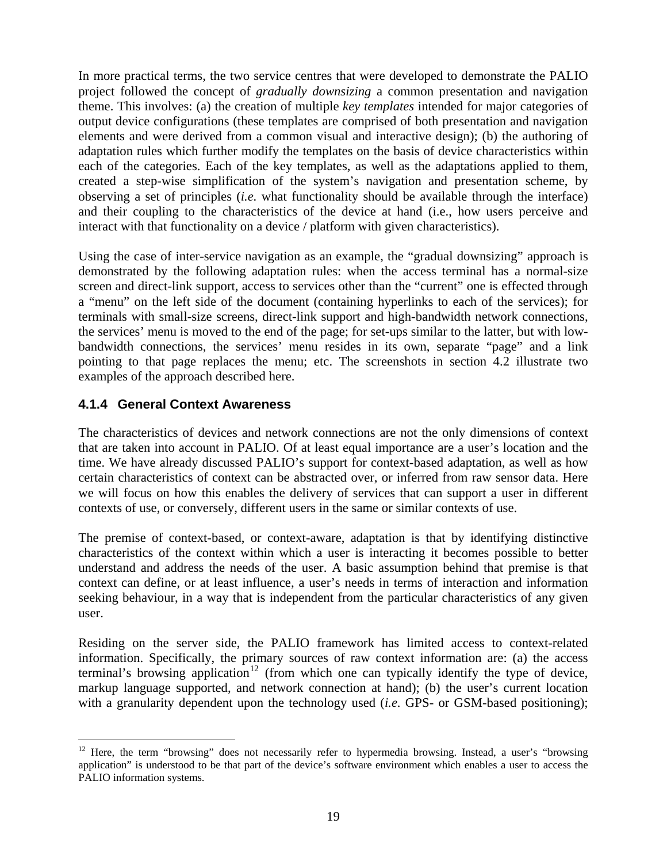In more practical terms, the two service centres that were developed to demonstrate the PALIO project followed the concept of *gradually downsizing* a common presentation and navigation theme. This involves: (a) the creation of multiple *key templates* intended for major categories of output device configurations (these templates are comprised of both presentation and navigation elements and were derived from a common visual and interactive design); (b) the authoring of adaptation rules which further modify the templates on the basis of device characteristics within each of the categories. Each of the key templates, as well as the adaptations applied to them, created a step-wise simplification of the system's navigation and presentation scheme, by observing a set of principles (*i.e.* what functionality should be available through the interface) and their coupling to the characteristics of the device at hand (i.e., how users perceive and interact with that functionality on a device / platform with given characteristics).

Using the case of inter-service navigation as an example, the "gradual downsizing" approach is demonstrated by the following adaptation rules: when the access terminal has a normal-size screen and direct-link support, access to services other than the "current" one is effected through a "menu" on the left side of the document (containing hyperlinks to each of the services); for terminals with small-size screens, direct-link support and high-bandwidth network connections, the services' menu is moved to the end of the page; for set-ups similar to the latter, but with lowbandwidth connections, the services' menu resides in its own, separate "page" and a link pointing to that page replaces the menu; etc. The screenshots in section [4.2](#page-20-0) illustrate two examples of the approach described here.

### **4.1.4 General Context Awareness**

The characteristics of devices and network connections are not the only dimensions of context that are taken into account in PALIO. Of at least equal importance are a user's location and the time. We have already discussed PALIO's support for context-based adaptation, as well as how certain characteristics of context can be abstracted over, or inferred from raw sensor data. Here we will focus on how this enables the delivery of services that can support a user in different contexts of use, or conversely, different users in the same or similar contexts of use.

The premise of context-based, or context-aware, adaptation is that by identifying distinctive characteristics of the context within which a user is interacting it becomes possible to better understand and address the needs of the user. A basic assumption behind that premise is that context can define, or at least influence, a user's needs in terms of interaction and information seeking behaviour, in a way that is independent from the particular characteristics of any given user.

Residing on the server side, the PALIO framework has limited access to context-related information. Specifically, the primary sources of raw context information are: (a) the access terminal's browsing application<sup>[12](#page-18-0)</sup> (from which one can typically identify the type of device, markup language supported, and network connection at hand); (b) the user's current location with a granularity dependent upon the technology used *(i.e. GPS- or GSM-based positioning)*;

<span id="page-18-0"></span> $\overline{a}$ <sup>12</sup> Here, the term "browsing" does not necessarily refer to hypermedia browsing. Instead, a user's "browsing application" is understood to be that part of the device's software environment which enables a user to access the PALIO information systems.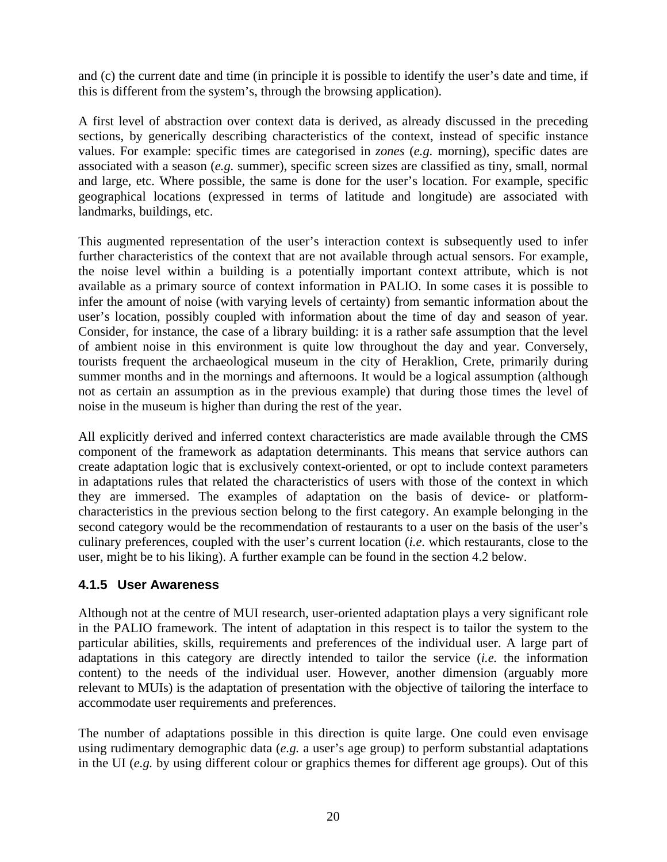and (c) the current date and time (in principle it is possible to identify the user's date and time, if this is different from the system's, through the browsing application).

A first level of abstraction over context data is derived, as already discussed in the preceding sections, by generically describing characteristics of the context, instead of specific instance values. For example: specific times are categorised in *zones* (*e.g.* morning), specific dates are associated with a season (*e.g.* summer), specific screen sizes are classified as tiny, small, normal and large, etc. Where possible, the same is done for the user's location. For example, specific geographical locations (expressed in terms of latitude and longitude) are associated with landmarks, buildings, etc.

This augmented representation of the user's interaction context is subsequently used to infer further characteristics of the context that are not available through actual sensors. For example, the noise level within a building is a potentially important context attribute, which is not available as a primary source of context information in PALIO. In some cases it is possible to infer the amount of noise (with varying levels of certainty) from semantic information about the user's location, possibly coupled with information about the time of day and season of year. Consider, for instance, the case of a library building: it is a rather safe assumption that the level of ambient noise in this environment is quite low throughout the day and year. Conversely, tourists frequent the archaeological museum in the city of Heraklion, Crete, primarily during summer months and in the mornings and afternoons. It would be a logical assumption (although not as certain an assumption as in the previous example) that during those times the level of noise in the museum is higher than during the rest of the year.

All explicitly derived and inferred context characteristics are made available through the CMS component of the framework as adaptation determinants. This means that service authors can create adaptation logic that is exclusively context-oriented, or opt to include context parameters in adaptations rules that related the characteristics of users with those of the context in which they are immersed. The examples of adaptation on the basis of device- or platformcharacteristics in the previous section belong to the first category. An example belonging in the second category would be the recommendation of restaurants to a user on the basis of the user's culinary preferences, coupled with the user's current location (*i.e.* which restaurants, close to the user, might be to his liking). A further example can be found in the section [4.2](#page-20-0) [below.](#page-20-0)

#### **4.1.5 User Awareness**

Although not at the centre of MUI research, user-oriented adaptation plays a very significant role in the PALIO framework. The intent of adaptation in this respect is to tailor the system to the particular abilities, skills, requirements and preferences of the individual user. A large part of adaptations in this category are directly intended to tailor the service (*i.e.* the information content) to the needs of the individual user. However, another dimension (arguably more relevant to MUIs) is the adaptation of presentation with the objective of tailoring the interface to accommodate user requirements and preferences.

The number of adaptations possible in this direction is quite large. One could even envisage using rudimentary demographic data (*e.g.* a user's age group) to perform substantial adaptations in the UI (*e.g.* by using different colour or graphics themes for different age groups). Out of this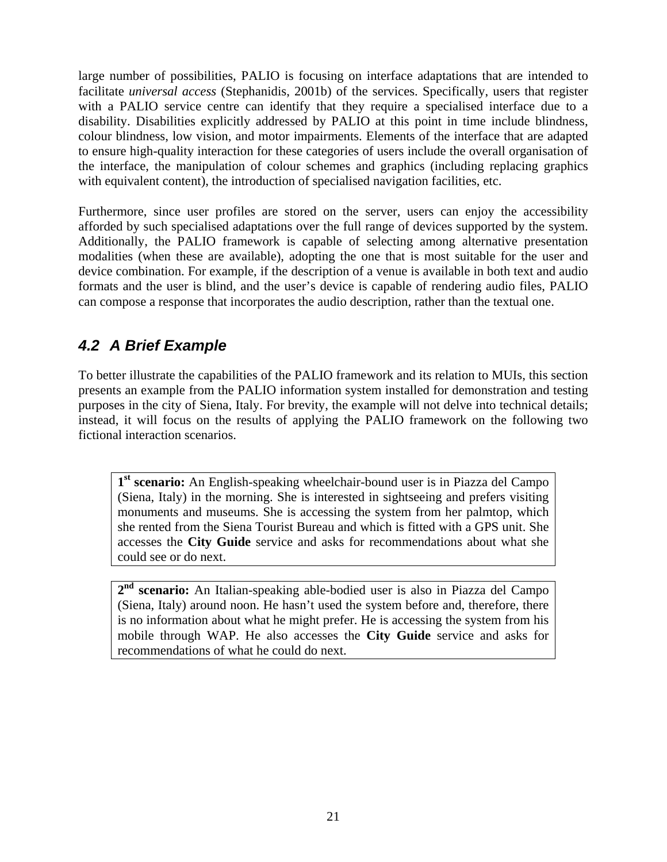large number of possibilities, PALIO is focusing on interface adaptations that are intended to facilitate *universal access* (Stephanidis, 2001b) of the services. Specifically, users that register with a PALIO service centre can identify that they require a specialised interface due to a disability. Disabilities explicitly addressed by PALIO at this point in time include blindness, colour blindness, low vision, and motor impairments. Elements of the interface that are adapted to ensure high-quality interaction for these categories of users include the overall organisation of the interface, the manipulation of colour schemes and graphics (including replacing graphics with equivalent content), the introduction of specialised navigation facilities, etc.

Furthermore, since user profiles are stored on the server, users can enjoy the accessibility afforded by such specialised adaptations over the full range of devices supported by the system. Additionally, the PALIO framework is capable of selecting among alternative presentation modalities (when these are available), adopting the one that is most suitable for the user and device combination. For example, if the description of a venue is available in both text and audio formats and the user is blind, and the user's device is capable of rendering audio files, PALIO can compose a response that incorporates the audio description, rather than the textual one.

## <span id="page-20-0"></span>*4.2 A Brief Example*

To better illustrate the capabilities of the PALIO framework and its relation to MUIs, this section presents an example from the PALIO information system installed for demonstration and testing purposes in the city of Siena, Italy. For brevity, the example will not delve into technical details; instead, it will focus on the results of applying the PALIO framework on the following two fictional interaction scenarios.

**1st scenario:** An English-speaking wheelchair-bound user is in Piazza del Campo (Siena, Italy) in the morning. She is interested in sightseeing and prefers visiting monuments and museums. She is accessing the system from her palmtop, which she rented from the Siena Tourist Bureau and which is fitted with a GPS unit. She accesses the **City Guide** service and asks for recommendations about what she could see or do next.

**2nd scenario:** An Italian-speaking able-bodied user is also in Piazza del Campo (Siena, Italy) around noon. He hasn't used the system before and, therefore, there is no information about what he might prefer. He is accessing the system from his mobile through WAP. He also accesses the **City Guide** service and asks for recommendations of what he could do next.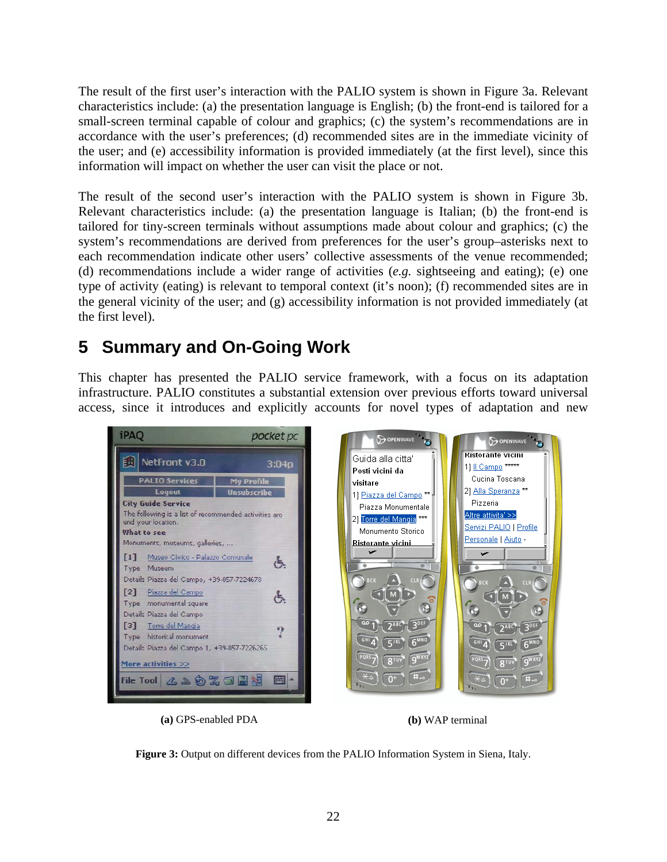The result of the first user's interaction with the PALIO system is shown in Figure 3a. Relevant characteristics include: (a) the presentation language is English; (b) the front-end is tailored for a small-screen terminal capable of colour and graphics; (c) the system's recommendations are in accordance with the user's preferences; (d) recommended sites are in the immediate vicinity of the user; and (e) accessibility information is provided immediately (at the first level), since this information will impact on whether the user can visit the place or not.

The result of the second user's interaction with the PALIO system is shown in Figure 3b. Relevant characteristics include: (a) the presentation language is Italian; (b) the front-end is tailored for tiny-screen terminals without assumptions made about colour and graphics; (c) the system's recommendations are derived from preferences for the user's group–asterisks next to each recommendation indicate other users' collective assessments of the venue recommended; (d) recommendations include a wider range of activities (*e.g.* sightseeing and eating); (e) one type of activity (eating) is relevant to temporal context (it's noon); (f) recommended sites are in the general vicinity of the user; and (g) accessibility information is not provided immediately (at the first level).

# **5 Summary and On-Going Work**

This chapter has presented the PALIO service framework, with a focus on its adaptation infrastructure. PALIO constitutes a substantial extension over previous efforts toward universal access, since it introduces and explicitly accounts for novel types of adaptation and new



**(a)** GPS-enabled PDA **(b)** WAP terminal

**Figure 3:** Output on different devices from the PALIO Information System in Siena, Italy.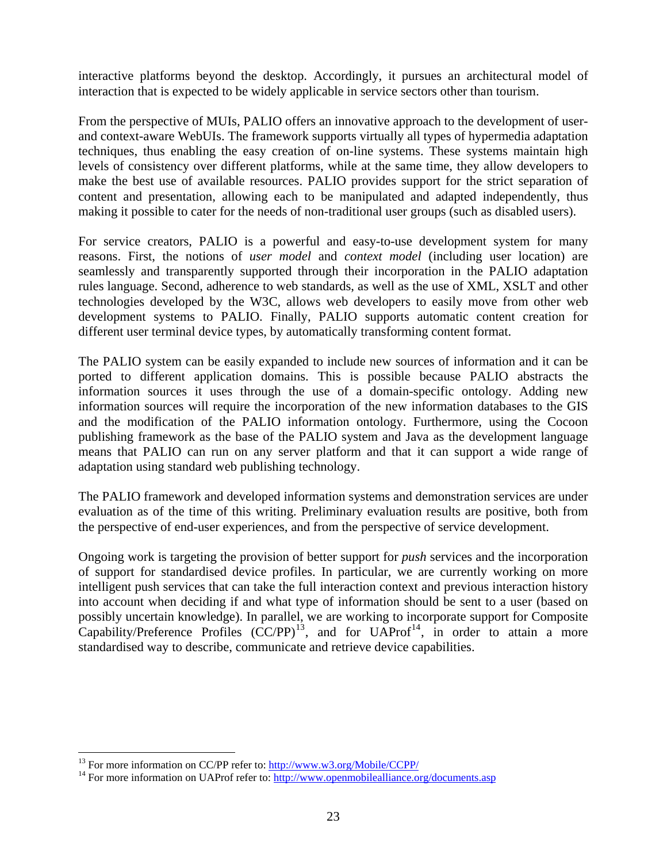interactive platforms beyond the desktop. Accordingly, it pursues an architectural model of interaction that is expected to be widely applicable in service sectors other than tourism.

From the perspective of MUIs, PALIO offers an innovative approach to the development of userand context-aware WebUIs. The framework supports virtually all types of hypermedia adaptation techniques, thus enabling the easy creation of on-line systems. These systems maintain high levels of consistency over different platforms, while at the same time, they allow developers to make the best use of available resources. PALIO provides support for the strict separation of content and presentation, allowing each to be manipulated and adapted independently, thus making it possible to cater for the needs of non-traditional user groups (such as disabled users).

For service creators, PALIO is a powerful and easy-to-use development system for many reasons. First, the notions of *user model* and *context model* (including user location) are seamlessly and transparently supported through their incorporation in the PALIO adaptation rules language. Second, adherence to web standards, as well as the use of XML, XSLT and other technologies developed by the W3C, allows web developers to easily move from other web development systems to PALIO. Finally, PALIO supports automatic content creation for different user terminal device types, by automatically transforming content format.

The PALIO system can be easily expanded to include new sources of information and it can be ported to different application domains. This is possible because PALIO abstracts the information sources it uses through the use of a domain-specific ontology. Adding new information sources will require the incorporation of the new information databases to the GIS and the modification of the PALIO information ontology. Furthermore, using the Cocoon publishing framework as the base of the PALIO system and Java as the development language means that PALIO can run on any server platform and that it can support a wide range of adaptation using standard web publishing technology.

The PALIO framework and developed information systems and demonstration services are under evaluation as of the time of this writing. Preliminary evaluation results are positive, both from the perspective of end-user experiences, and from the perspective of service development.

Ongoing work is targeting the provision of better support for *push* services and the incorporation of support for standardised device profiles. In particular, we are currently working on more intelligent push services that can take the full interaction context and previous interaction history into account when deciding if and what type of information should be sent to a user (based on possibly uncertain knowledge). In parallel, we are working to incorporate support for Composite Capability/Preference Profiles  $(CC/PP)^{13}$  $(CC/PP)^{13}$  $(CC/PP)^{13}$ , and for UAProf<sup>[14](#page-22-1)</sup>, in order to attain a more standardised way to describe, communicate and retrieve device capabilities.

<span id="page-22-0"></span><sup>&</sup>lt;sup>13</sup> For more information on CC/PP refer to: http://www.w3.org/Mobile/CCPP/

<span id="page-22-1"></span><sup>&</sup>lt;sup>14</sup> For more information on UAProf refer to:<http://www.openmobilealliance.org/documents.asp>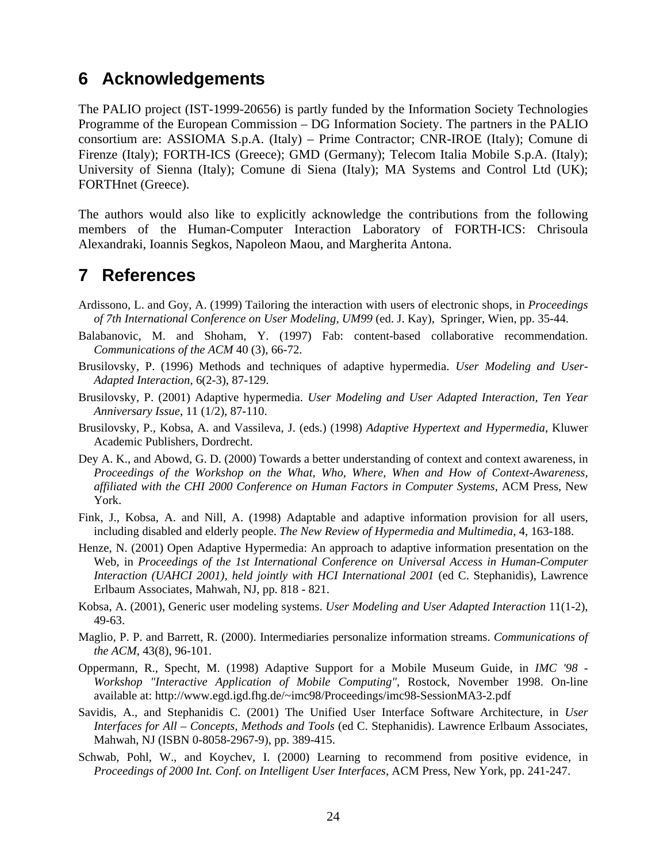### **6 Acknowledgements**

The PALIO project (IST-1999-20656) is partly funded by the Information Society Technologies Programme of the European Commission – DG Information Society. The partners in the PALIO consortium are: ASSIOMA S.p.A. (Italy) – Prime Contractor; CNR-IROE (Italy); Comune di Firenze (Italy); FORTH-ICS (Greece); GMD (Germany); Telecom Italia Mobile S.p.A. (Italy); University of Sienna (Italy); Comune di Siena (Italy); MA Systems and Control Ltd (UK); FORTHnet (Greece).

The authors would also like to explicitly acknowledge the contributions from the following members of the Human-Computer Interaction Laboratory of FORTH-ICS: Chrisoula Alexandraki, Ioannis Segkos, Napoleon Maou, and Margherita Antona.

### **7 References**

- Ardissono, L. and Goy, A. (1999) Tailoring the interaction with users of electronic shops, in *Proceedings of 7th International Conference on User Modeling, UM99* (ed. J. Kay), Springer, Wien, pp. 35-44.
- Balabanovic, M. and Shoham, Y. (1997) Fab: content-based collaborative recommendation. *Communications of the ACM* 40 (3), 66-72.
- Brusilovsky, P. (1996) Methods and techniques of adaptive hypermedia. *User Modeling and User-Adapted Interaction,* 6(2-3), 87-129.
- Brusilovsky, P. (2001) Adaptive hypermedia. *User Modeling and User Adapted Interaction, Ten Year Anniversary Issue*, 11 (1/2), 87-110.
- Brusilovsky, P., Kobsa, A. and Vassileva, J. (eds.) (1998) *Adaptive Hypertext and Hypermedia*, Kluwer Academic Publishers, Dordrecht.
- Dey A. K., and Abowd, G. D. (2000) Towards a better understanding of context and context awareness, in *Proceedings of the Workshop on the What, Who, Where, When and How of Context-Awareness, affiliated with the CHI 2000 Conference on Human Factors in Computer Systems*, ACM Press, New York.
- Fink, J., Kobsa, A. and Nill, A. (1998) Adaptable and adaptive information provision for all users, including disabled and elderly people. *The New Review of Hypermedia and Multimedia*, 4, 163-188.
- Henze, N. (2001) Open Adaptive Hypermedia: An approach to adaptive information presentation on the Web, in *Proceedings of the 1st International Conference on Universal Access in Human-Computer Interaction (UAHCI 2001), held jointly with HCI International 2001* (ed C. Stephanidis), Lawrence Erlbaum Associates, Mahwah, NJ, pp. 818 - 821.
- Kobsa, A. (2001), Generic user modeling systems. *User Modeling and User Adapted Interaction* 11(1-2), 49-63.
- Maglio, P. P. and Barrett, R. (2000). Intermediaries personalize information streams. *Communications of the ACM,* 43(8), 96-101.
- Oppermann, R., Specht, M. (1998) Adaptive Support for a Mobile Museum Guide, in *IMC '98 Workshop "Interactive Application of Mobile Computing"*, Rostock, November 1998. On-line available at: http://www.egd.igd.fhg.de/~imc98/Proceedings/imc98-SessionMA3-2.pdf
- Savidis, A., and Stephanidis C. (2001) The Unified User Interface Software Architecture, in *User Interfaces for All – Concepts, Methods and Tools* (ed C. Stephanidis). Lawrence Erlbaum Associates, Mahwah, NJ (ISBN 0-8058-2967-9), pp. 389-415.
- Schwab, Pohl, W., and Koychev, I. (2000) Learning to recommend from positive evidence, in *Proceedings of 2000 Int. Conf. on Intelligent User Interfaces*, ACM Press, New York, pp. 241-247.